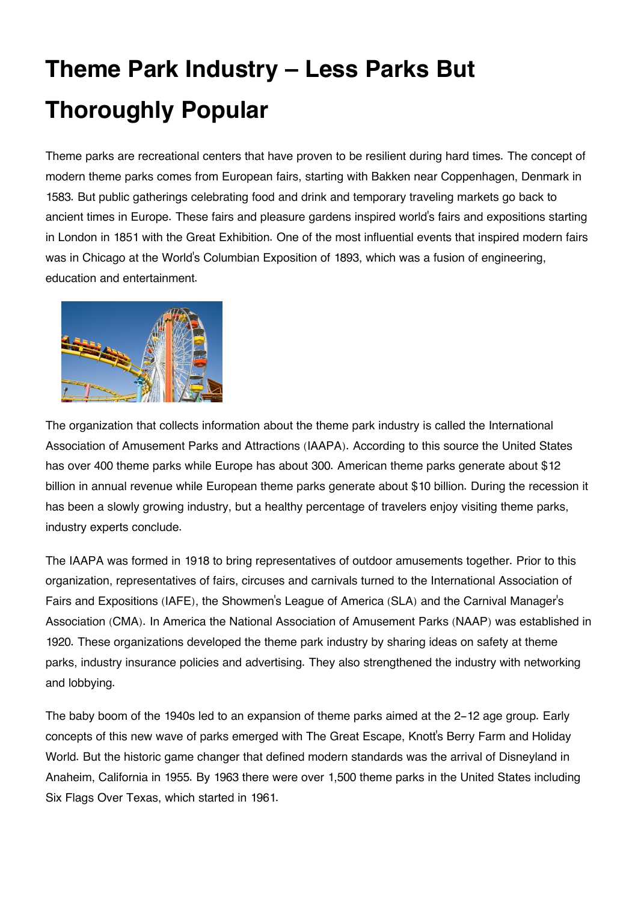## **Theme Park Industry – Less Parks But Thoroughly Popular**

Theme parks are recreational centers that have proven to be resilient during hard times. The concept of modern theme parks comes from European fairs, starting with Bakken near Coppenhagen, Denmark in 1583. But public gatherings celebrating food and drink and temporary traveling markets go back to ancient times in Europe. These fairs and pleasure gardens inspired world's fairs and expositions starting in London in 1851 with the Great Exhibition. One of the most influential events that inspired modern fairs was in Chicago at the World's Columbian Exposition of 1893, which was a fusion of engineering, education and entertainment.



The organization that collects information about the theme park industry is called the International Association of Amusement Parks and Attractions (IAAPA). According to this source the United States has over 400 theme parks while Europe has about 300. American theme parks generate about \$12 billion in annual revenue while European theme parks generate about \$10 billion. During the recession it has been a slowly growing industry, but a healthy percentage of travelers enjoy visiting theme parks, industry experts conclude.

The IAAPA was formed in 1918 to bring representatives of outdoor amusements together. Prior to this organization, representatives of fairs, circuses and carnivals turned to the International Association of Fairs and Expositions (IAFE), the Showmen's League of America (SLA) and the Carnival Manager's Association (CMA). In America the National Association of Amusement Parks (NAAP) was established in 1920. These organizations developed the theme park industry by sharing ideas on safety at theme parks, industry insurance policies and advertising. They also strengthened the industry with networking and lobbying.

The baby boom of the 1940s led to an expansion of theme parks aimed at the 2-12 age group. Early concepts of this new wave of parks emerged with The Great Escape, Knott's Berry Farm and Holiday World. But the historic game changer that defined modern standards was the arrival of Disneyland in Anaheim, California in 1955. By 1963 there were over 1,500 theme parks in the United States including Six Flags Over Texas, which started in 1961.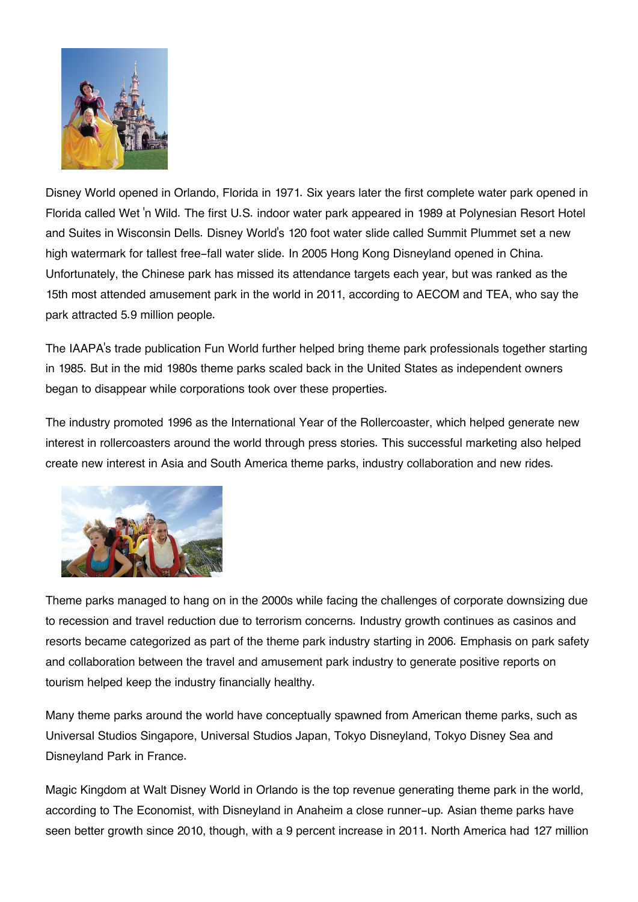

Disney World opened in Orlando, Florida in 1971. Six years later the first complete water park opened in Florida called Wet 'n Wild. The first U.S. indoor water park appeared in 1989 at Polynesian Resort Hotel and Suites in Wisconsin Dells. Disney World's 120 foot water slide called Summit Plummet set a new high watermark for tallest free-fall water slide. In 2005 Hong Kong Disneyland opened in China. Unfortunately, the Chinese park has missed its attendance targets each year, but was ranked as the 15th most attended amusement park in the world in 2011, according to AECOM and TEA, who say the park attracted 5.9 million people.

The IAAPA's trade publication Fun World further helped bring theme park professionals together starting in 1985. But in the mid 1980s theme parks scaled back in the United States as independent owners began to disappear while corporations took over these properties.

The industry promoted 1996 as the International Year of the Rollercoaster, which helped generate new interest in rollercoasters around the world through press stories. This successful marketing also helped create new interest in Asia and South America theme parks, industry collaboration and new rides.



Theme parks managed to hang on in the 2000s while facing the challenges of corporate downsizing due to recession and travel reduction due to terrorism concerns. Industry growth continues as casinos and resorts became categorized as part of the theme park industry starting in 2006. Emphasis on park safety and collaboration between the travel and amusement park industry to generate positive reports on tourism helped keep the industry financially healthy.

Many theme parks around the world have conceptually spawned from American theme parks, such as Universal Studios Singapore, Universal Studios Japan, Tokyo Disneyland, Tokyo Disney Sea and Disneyland Park in France.

Magic Kingdom at Walt Disney World in Orlando is the top revenue generating theme park in the world, according to The Economist, with Disneyland in Anaheim a close runner-up. Asian theme parks have seen better growth since 2010, though, with a 9 percent increase in 2011. North America had 127 million